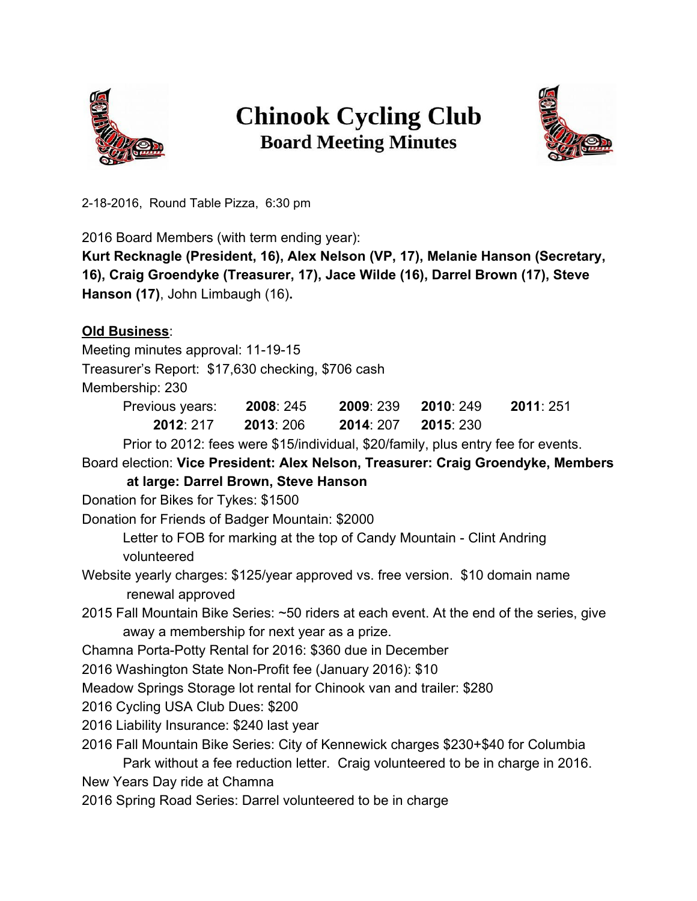

## **Chinook Cycling Club Board Meeting Minutes**



2182016, Round Table Pizza, 6:30 pm

2016 Board Members (with term ending year):

**Kurt Recknagle (President, 16), Alex Nelson (VP, 17), Melanie Hanson (Secretary, 16), Craig Groendyke (Treasurer, 17), Jace Wilde (16),Darrel Brown (17), Steve Hanson (17)**, John Limbaugh (16)**.**

## **Old Business**:

Meeting minutes approval: 11-19-15

Treasurer's Report: \$17,630 checking, \$706 cash

Membership: 230

| Previous years: | 2008: 245 | <b>2009</b> : 239 | 2010 249  | 2011:251 |
|-----------------|-----------|-------------------|-----------|----------|
| 2012: 217       | 2013: 206 | 2014: 207         | 2015: 230 |          |

Prior to 2012: fees were \$15/individual, \$20/family, plus entry fee for events.

Board election: **Vice President: Alex Nelson, Treasurer: Craig Groendyke, Members**

**at large: Darrel Brown, Steve Hanson**

Donation for Bikes for Tykes: \$1500

Donation for Friends of Badger Mountain: \$2000

Letter to FOB for marking at the top of Candy Mountain - Clint Andring volunteered

Website yearly charges: \$125/year approved vs. free version. \$10 domain name renewal approved

2015 Fall Mountain Bike Series: ~50 riders at each event. At the end of the series, give away a membership for next year as a prize.

Chamna Porta-Potty Rental for 2016: \$360 due in December

2016 Washington State Non-Profit fee (January 2016): \$10

Meadow Springs Storage lot rental for Chinook van and trailer: \$280

2016 Cycling USA Club Dues: \$200

2016 Liability Insurance: \$240 last year

2016 Fall Mountain Bike Series: City of Kennewick charges \$230+\$40 for Columbia

Park without a fee reduction letter. Craig volunteered to be in charge in 2016. New Years Day ride at Chamna

2016 Spring Road Series: Darrel volunteered to be in charge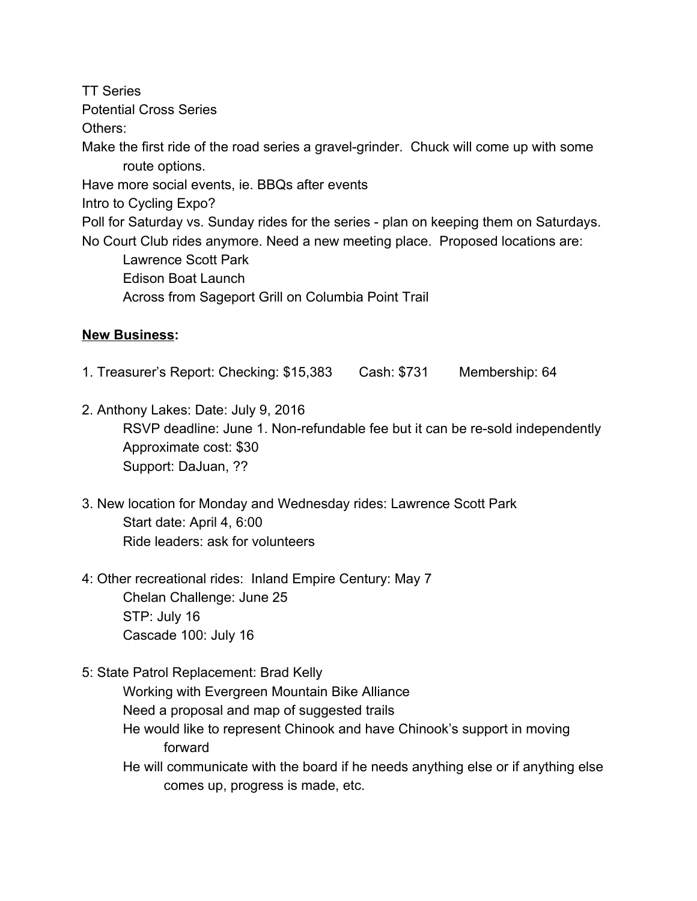TT Series Potential Cross Series Others: Make the first ride of the road series a gravel-grinder. Chuck will come up with some route options. Have more social events, ie. BBQs after events Intro to Cycling Expo? Poll for Saturday vs. Sunday rides for the series - plan on keeping them on Saturdays. No Court Club rides anymore. Need a new meeting place. Proposed locations are: Lawrence Scott Park Edison Boat Launch Across from Sageport Grill on Columbia Point Trail

## **New Business:**

- 1. Treasurer's Report: Checking: \$15,383 Cash: \$731 Membership: 64
- 2. Anthony Lakes: Date: July 9, 2016 RSVP deadline: June 1. Non-refundable fee but it can be re-sold independently Approximate cost: \$30 Support: DaJuan, ??
- 3. New location for Monday and Wednesday rides: Lawrence Scott Park Start date: April 4, 6:00 Ride leaders: ask for volunteers
- 4: Other recreational rides: Inland Empire Century: May 7 Chelan Challenge: June 25 STP: July 16 Cascade 100: July 16
- 5: State Patrol Replacement: Brad Kelly

Working with Evergreen Mountain Bike Alliance Need a proposal and map of suggested trails He would like to represent Chinook and have Chinook's support in moving forward

He will communicate with the board if he needs anything else or if anything else comes up, progress is made, etc.